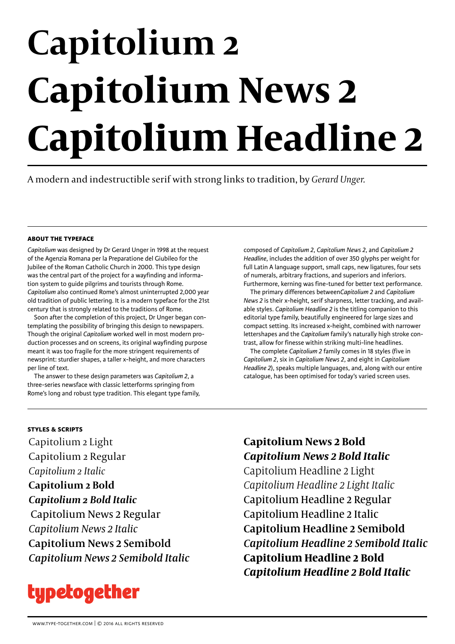# **Capitolium 2 Capitolium News 2 Capitolium Headline 2**

A modern and indestructible serif with strong links to tradition, by *Gerard Unger.*

# **about the typeface**

*Capitolium* was designed by Dr Gerard Unger in 1998 at the request of the Agenzia Romana per la Preparatione del Giubileo for the Jubilee of the Roman Catholic Church in 2000. This type design was the central part of the project for a wayfinding and information system to guide pilgrims and tourists through Rome. *Capitolium* also continued Rome's almost uninterrupted 2,000 year old tradition of public lettering. It is a modern typeface for the 21st century that is strongly related to the traditions of Rome.

Soon after the completion of this project, Dr Unger began contemplating the possibility of bringing this design to newspapers. Though the original *Capitolium* worked well in most modern production processes and on screens, its original wayfinding purpose meant it was too fragile for the more stringent requirements of newsprint: sturdier shapes, a taller x-height, and more characters per line of text.

The answer to these design parameters was *Capitolium 2*, a three-series newsface with classic letterforms springing from Rome's long and robust type tradition. This elegant type family, composed of *Capitolium 2*, *Capitolium News 2*, and *Capitolium 2 Headline*, includes the addition of over 350 glyphs per weight for full Latin A language support, small caps, new ligatures, four sets of numerals, arbitrary fractions, and superiors and inferiors. Furthermore, kerning was fine-tuned for better text performance.

The primary differences between*Capitolium 2* and *Capitolium News 2* is their x-height, serif sharpness, letter tracking, and available styles. *Capitolium Headline 2* is the titling companion to this editorial type family, beautifully engineered for large sizes and compact setting. Its increased x-height, combined with narrower lettershapes and the *Capitolium* family's naturally high stroke contrast, allow for finesse within striking multi-line headlines.

The complete *Capitolium 2* family comes in 18 styles (five in *Capitolium 2*, six in *Capitolium News 2*, and eight in *Capitolium Headline 2*), speaks multiple languages, and, along with our entire catalogue, has been optimised for today's varied screen uses.

# **styles & scripts**

Capitolium 2 Light Capitolium 2 Regular *Capitolium 2 Italic* **Capitolium 2 Bold** *Capitolium 2 Bold Italic* Capitolium News 2 Regular *Capitolium News 2 Italic* **Capitolium News 2 Semibold** *Capitolium News 2 Semibold Italic*



# **Capitolium News 2 Bold** *Capitolium News 2 Bold Italic*

Capitolium Headline 2 Light *Capitolium Headline 2 Light Italic* Capitolium Headline 2 Regular Capitolium Headline 2 Italic Capitolium Headline 2 Semibold *Capitolium Headline 2 Semibold Italic* **Capitolium Headline 2 Bold** *Capitolium Headline 2 Bold Italic*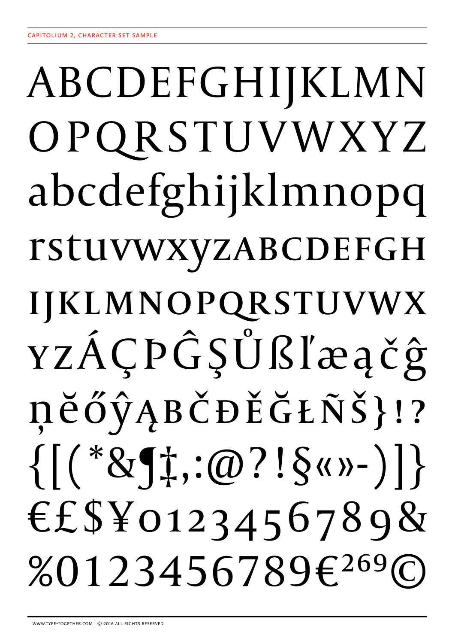# ABCDEFGHIJKLMN OPQRSTUVWXYZ abcdefghijklmnopq **rstuvwxyzABCDEFGH** IJKLMNOPQRSTUVWX YZÁÇPĜŞŮßľæačĝ ņěőŷĄBČĐĚĞŁÑŠ}!?  $\{[(*811;:@?!5@?!)]\}$ €£\$¥0123456789& %0123456789€269©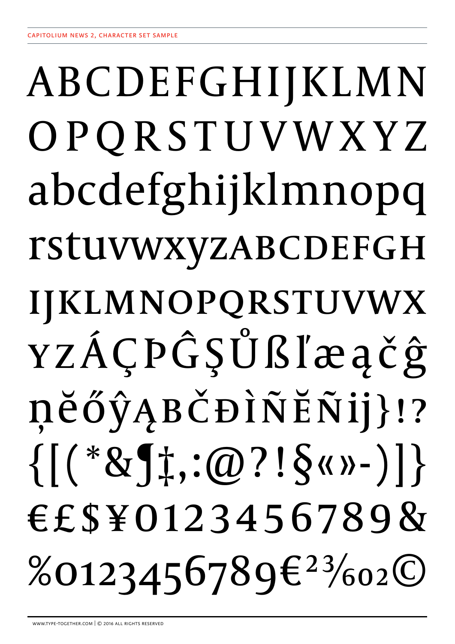# ABCDEFGHIJKLMN OPQRSTUVWXYZ abcdefghijklmnopq rstuvwxyzABCDEFGH IJKLMNOPQRSTUVWX YZÁÇPĜŞŮßľæačĝ ņĕőŷĄBČĐÌÑĔÑij}!?  $\{[(*81]^\ddagger,(0?!\S$ «»-)]} €£\$¥0123456789&  $%0123456789E^{23}/_{602}O$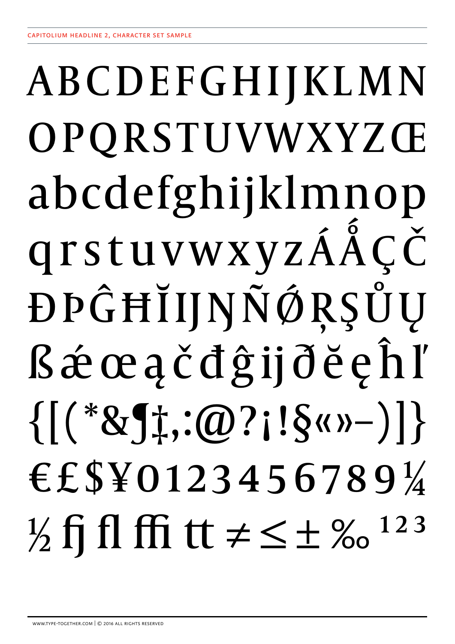# ABCDEFGHIJKLMN OPQRSTUVWXYZŒ abcdefghijklmnop qrstuvwxyzÁÅCČ DPĜĦĬIJŊÑÓRŞŮU *R*éceačdĝijděeĥľ  $\{[(*81;:@?::@?::\$<")]\}$ €£\$¥0123456789¼  $\frac{1}{2}$  fj fl ffi tt  $\neq \leq \pm \frac{9}{123}$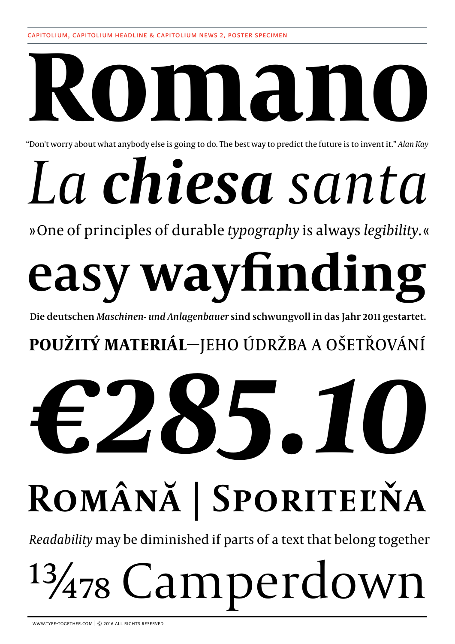# **Romano**

"Don't worry about what anybody else is going to do. The best way to predict the future is to invent it." *Alan Kay*

# *La chiesa santa*

» One of principles of durable *typography* is always *legibility*. «

# **easy wayfinding**

**Die deutschen** *Maschinen- und Anlagenbauer* **sind schwungvoll in das Jahr 2011 gestartet.**

# **POUŽITÝ MATERIÁL**—JEHO ÚDRŽBA A OŠETŘOVÁNÍ

# *€285.10* **Română | SPORITEĽŇA**

*Readability* may be diminished if parts of a text that belong together

# 13/478 Camperdown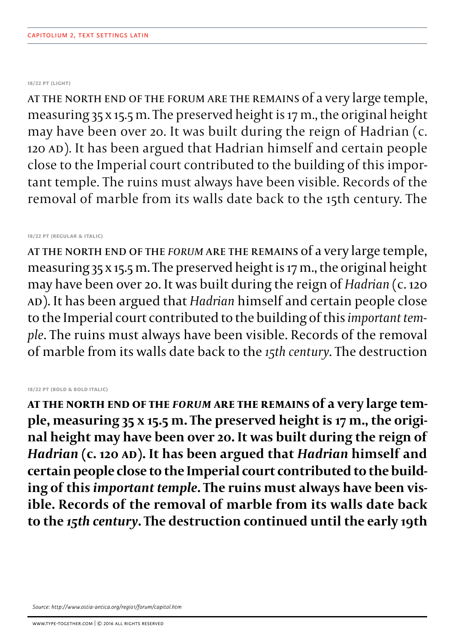# **18/22 pt (light)**

at the north end of the forum are the remains of a very large temple, measuring 35 x 15.5 m. The preserved height is 17 m., the original height may have been over 20. It was built during the reign of Hadrian (c. 120 AD). It has been argued that Hadrian himself and certain people close to the Imperial court contributed to the building of this important temple. The ruins must always have been visible. Records of the removal of marble from its walls date back to the 15th century. The

# **18/22 pt (regular & italic)**

at the north end of the *Forum* are the remains of a very large temple, measuring 35 x 15.5 m. The preserved height is 17 m., the original height may have been over 20. It was built during the reign of *Hadrian* (c. 120 AD). It has been argued that *Hadrian* himself and certain people close to the Imperial court contributed to the building of this *important tem� ple*. The ruins must always have been visible. Records of the removal of marble from its walls date back to the *15th century*. The destruction

# **18/22 pt (bold & bold italic)**

**at the north end of the** *Forum* **are the remains of a very large temple, measuring 35 x 15.5 m. The preserved height is 17 m., the original height may have been over 20. It was built during the reign of**  *Hadrian* **(c. 120 AD). It has been argued that** *Hadrian* **himself and certain people close to the Imperial court contributed to the building of this** *important temple***. The ruins must always have been visible. Records of the removal of marble from its walls date back to the** *15th century***. The destruction continued until the early 19th** 

*Source: http://www.ostia-antica.org/regio1/forum/capitol.htm*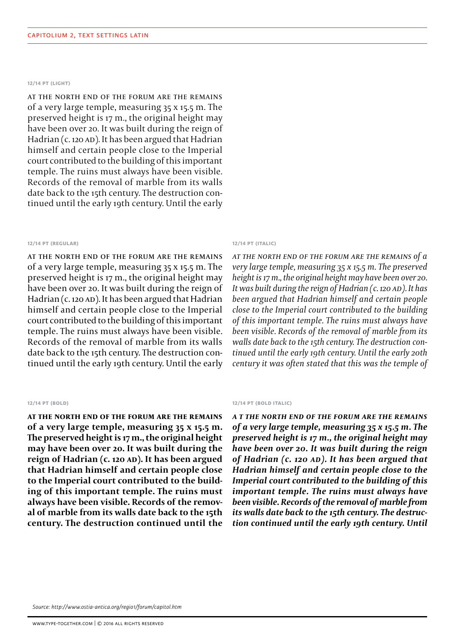# **12/14 pt (light)**

at the north end of the forum are the remains of a very large temple, measuring 35 x 15.5 m. The preserved height is 17 m., the original height may have been over 20. It was built during the reign of Hadrian (c. 120 AD). It has been argued that Hadrian himself and certain people close to the Imperial court contributed to the building of this important temple. The ruins must always have been visible. Records of the removal of marble from its walls date back to the 15th century. The destruction continued until the early 19th century. Until the early

# **12/14 pt (regular)**

at the north end of the forum are the remains of a very large temple, measuring 35 x 15.5 m. The preserved height is 17 m., the original height may have been over 20. It was built during the reign of Hadrian (c. 120 AD). It has been argued that Hadrian himself and certain people close to the Imperial court contributed to the building of this important temple. The ruins must always have been visible. Records of the removal of marble from its walls date back to the 15th century. The destruction continued until the early 19th century. Until the early

# **12/14 pt (bold)**

**at the north end of the forum are the remains of a very large temple, measuring 35 x 15.5 m. The preserved height is 17 m., the original height may have been over 20. It was built during the reign of Hadrian (c. 120 AD). It has been argued that Hadrian himself and certain people close to the Imperial court contributed to the building of this important temple. The ruins must always have been visible. Records of the removal of marble from its walls date back to the 15th century. The destruction continued until the** 

# **12/14 pt (italic)**

*at the north end of the forum are the remains of a very large temple, measuring 35 x 15.5 m. The preserved height is 17 m., the original height may have been over 20. It was built during the reign of Hadrian (c. 120 AD). It has been argued that Hadrian himself and certain people close to the Imperial court contributed to the building of this important temple. The ruins must always have been visible. Records of the removal of marble from its walls date back to the 15th century. The destruction con� tinued until the early 19th century. Until the early 20th century it was often stated that this was the temple of* 

### **12/14 pt (bold italic)**

*a t the north end of the forum are the remains of a very large temple, measuring 35 x 15.5 m. The preserved height is 17 m., the original height may have been over 20. It was built during the reign of Hadrian (c. 120 AD). It has been argued that Hadrian himself and certain people close to the Imperial court contributed to the building of this important temple. The ruins must always have been visible. Records of the removal of marble from its walls date back to the 15th century. The destruction continued until the early 19th century. Until*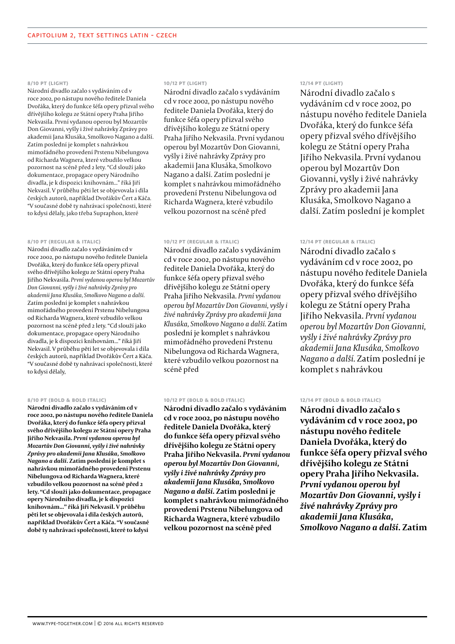## **8/10 pt (light)**

Národní divadlo začalo s vydáváním cd v roce 2002, po nástupu nového ředitele Daniela Dvořáka, který do funkce šéfa opery přizval svého dřívějšího kolegu ze Státní opery Praha Jiřího Nekvasila. První vydanou operou byl Mozartův Don Giovanni, vyšly i živé nahrávky Zprávy pro akademii Jana Klusáka, Smolkovo Nagano a další. Zatím poslední je komplet s nahrávkou mimořádného provedení Prstenu Nibelungova od Richarda Wagnera, které vzbudilo velkou pozornost na scéně před 2 lety. "Cd slouží jako dokumentace, propagace opery Národního divadla, je k dispozici knihovnám..." říká Jiří Nekvasil. V průběhu pěti let se objevovala i díla českých autorů, například Dvořákův Čert a Káča. "V současné době ty nahrávací společnosti, které to kdysi dělaly, jako třeba Supraphon, které

### **8/10 pt (regular & italic)**

Národní divadlo začalo s vydáváním cd v roce 2002, po nástupu nového ředitele Daniela Dvořáka, který do funkce šéfa opery přizval svého dřívějšího kolegu ze Státní opery Praha Jiřího Nekvasila. *První vydanou operou byl Mozartův Don Giovanni, vyšly i živé nahrávky Zprávy pro akademii Jana Klusáka, Smolkovo Nagano a další.*  Zatím poslední je komplet s nahrávkou mimořádného provedení Prstenu Nibelungova od Richarda Wagnera, které vzbudilo velkou pozornost na scéně před 2 lety. "Cd slouží jako dokumentace, propagace opery Národního divadla, je k dispozici knihovnám..." říká Jiří Nekvasil. V průběhu pěti let se objevovala i díla českých autorů, například Dvořákův Čert a Káča. "V současné době ty nahrávací společnosti, které to kdysi dělaly,

#### **8/10 pt (bold & bold italic)**

**Národní divadlo začalo s vydáváním cd v roce 2002, po nástupu nového ředitele Daniela Dvořáka, který do funkce šéfa opery přizval svého dřívějšího kolegu ze Státní opery Praha Jiřího Nekvasila.** *První vydanou operou byl Mozartův Don Giovanni, vyšly i živé nahrávky Zprávy pro akademii Jana Klusáka, Smolkovo Nagano a další.* **Zatím poslední je komplet s nahrávkou mimořádného provedení Prstenu Nibelungova od Richarda Wagnera, které vzbudilo velkou pozornost na scéně před 2 lety. "Cd slouží jako dokumentace, propagace opery Národního divadla, je k dispozici knihovnám..." říká Jiří Nekvasil. V průběhu pěti let se objevovala i díla českých autorů, například Dvořákův Čert a Káča. "V současné době ty nahrávací společnosti, které to kdysi** 

# **10/12 pt (light)**

Národní divadlo začalo s vydáváním cd v roce 2002, po nástupu nového ředitele Daniela Dvořáka, který do funkce šéfa opery přizval svého dřívějšího kolegu ze Státní opery Praha Jiřího Nekvasila. První vydanou operou byl Mozartův Don Giovanni, vyšly i živé nahrávky Zprávy pro akademii Jana Klusáka, Smolkovo Nagano a další. Zatím poslední je komplet s nahrávkou mimořádného provedení Prstenu Nibelungova od Richarda Wagnera, které vzbudilo velkou pozornost na scéně před

# **10/12 pt (regular & italic)**

Národní divadlo začalo s vydáváním cd v roce 2002, po nástupu nového ředitele Daniela Dvořáka, který do funkce šéfa opery přizval svého dřívějšího kolegu ze Státní opery Praha Jiřího Nekvasila. *První vydanou operou byl Mozartův Don Giovanni, vyšly i živé nahrávky Zprávy pro akademii Jana Klusáka, Smolkovo Nagano a další.* Zatím poslední je komplet s nahrávkou mimořádného provedení Prstenu Nibelungova od Richarda Wagnera, které vzbudilo velkou pozornost na scéně před

# **10/12 pt (bold & bold italic)**

**Národní divadlo začalo s vydáváním cd v roce 2002, po nástupu nového ředitele Daniela Dvořáka, který do funkce šéfa opery přizval svého dřívějšího kolegu ze Státní opery Praha Jiřího Nekvasila.** *První vydanou operou byl Mozartův Don Giovanni, vyšly i živé nahrávky Zprávy pro akademii Jana Klusáka, Smolkovo Nagano a další.* **Zatím poslední je komplet s nahrávkou mimořádného provedení Prstenu Nibelungova od Richarda Wagnera, které vzbudilo velkou pozornost na scéně před** 

# **12/14 pt (light)**

Národní divadlo začalo s vydáváním cd v roce 2002, po nástupu nového ředitele Daniela Dvořáka, který do funkce šéfa opery přizval svého dřívějšího kolegu ze Státní opery Praha Jiřího Nekvasila. První vydanou operou byl Mozartův Don Giovanni, vyšly i živé nahrávky Zprávy pro akademii Jana Klusáka, Smolkovo Nagano a další. Zatím poslední je komplet

# **12/14 pt (regular & italic)**

Národní divadlo začalo s vydáváním cd v roce 2002, po nástupu nového ředitele Daniela Dvořáka, který do funkce šéfa opery přizval svého dřívějšího kolegu ze Státní opery Praha Jiřího Nekvasila. *První vydanou operou byl Mozartův Don Giovanni, vyšly i živé nahrávky Zprávy pro akademii Jana Klusáka, Smolkovo Nagano a další.* Zatím poslední je komplet s nahrávkou

# **12/14 pt (bold & bold italic)**

**Národní divadlo začalo s vydáváním cd v roce 2002, po nástupu nového ředitele Daniela Dvořáka, který do funkce šéfa opery přizval svého dřívějšího kolegu ze Státní opery Praha Jiřího Nekvasila.**  *První vydanou operou byl Mozartův Don Giovanni, vyšly i živé nahrávky Zprávy pro akademii Jana Klusáka, Smolkovo Nagano a další.* **Zatím**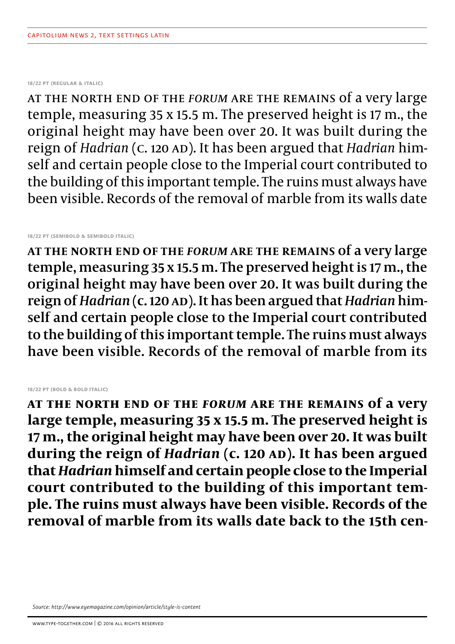**18/22 pt (regular & italic)**

at the north end of the *forum* are the remains of a very large temple, measuring 35 x 15.5 m. The preserved height is 17 m., the original height may have been over 20. It was built during the reign of *Hadrian* (c. 120 AD). It has been argued that *Hadrian* himself and certain people close to the Imperial court contributed to the building of this important temple. The ruins must always have been visible. Records of the removal of marble from its walls date

**18/22 pt (semibold & semibold italic)**

**at the north end of the** *Forum* **are the remains of a very large temple, measuring 35 x 15.5 m. The preserved height is 17 m., the original height may have been over 20. It was built during the reign of** *Hadrian* **(c. 120 AD). It has been argued that** *Hadrian* **himself and certain people close to the Imperial court contributed to the building of this important temple. The ruins must always have been visible. Records of the removal of marble from its** 

# **18/22 pt (bold & bold italic)**

**at the north end of the** *Forum* **are the remains of a very large temple, measuring 35 x 15.5 m. The preserved height is 17 m., the original height may have been over 20. It was built during the reign of** *Hadrian* **(c. 120 AD). It has been argued that** *Hadrian* **himself and certain people close to the Imperial court contributed to the building of this important temple. The ruins must always have been visible. Records of the removal of marble from its walls date back to the 15th cen-**

*Source: http://www.eyemagazine.com/opinion/article/style-is-content*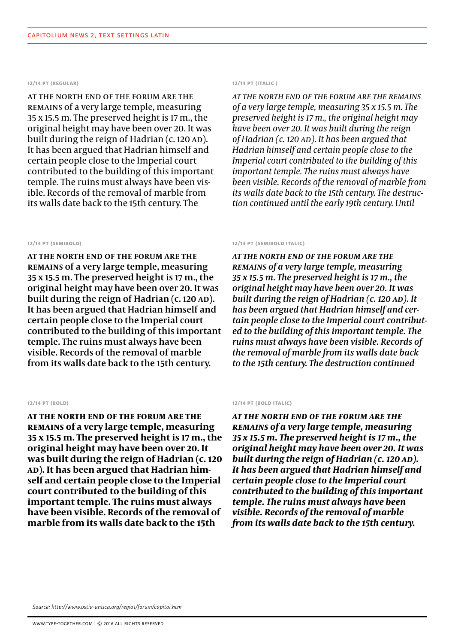# **12/14 pt (regular)**

at the north end of the forum are the remains of a very large temple, measuring 35 x 15.5 m. The preserved height is 17 m., the original height may have been over 20. It was built during the reign of Hadrian (c. 120 AD). It has been argued that Hadrian himself and certain people close to the Imperial court contributed to the building of this important temple. The ruins must always have been visible. Records of the removal of marble from its walls date back to the 15th century. The

# **12/14 pt (semibold)**

**at the north end of the forum are the remains of a very large temple, measuring 35 x 15.5 m. The preserved height is 17 m., the original height may have been over 20. It was built during the reign of Hadrian (c. 120 AD). It has been argued that Hadrian himself and certain people close to the Imperial court contributed to the building of this important temple. The ruins must always have been visible. Records of the removal of marble from its walls date back to the 15th century.** 

# **12/14 pt (bold)**

**at the north end of the forum are the remains of a very large temple, measuring 35 x 15.5 m. The preserved height is 17 m., the original height may have been over 20. It was built during the reign of Hadrian (c. 120 AD). It has been argued that Hadrian himself and certain people close to the Imperial court contributed to the building of this important temple. The ruins must always have been visible. Records of the removal of marble from its walls date back to the 15th** 

# **12/14 pt (italic )**

*at the north end of the forum are the remains of a very large temple, measuring 35 x 15.5 m. The preserved height is 17 m., the original height may have been over 20. It was built during the reign of Hadrian (c. 120 AD). It has been argued that Hadrian himself and certain people close to the Imperial court contributed to the building of this important temple. The ruins must always have been visible. Records of the removal of marble from its walls date back to the 15th century. The destruc� tion continued until the early 19th century. Until* 

## **12/14 pt (semibold italic)**

*at the north end of the forum are the remains of a very large temple, measuring 35 x 15.5 m. The preserved height is 17 m., the original height may have been over 20. It was built during the reign of Hadrian (c. 120 AD). It has been argued that Hadrian himself and certain people close to the Imperial court contributed to the building of this important temple. The ruins must always have been visible. Records of the removal of marble from its walls date back to the 15th century. The destruction continued* 

# **12/14 pt (bold italic)**

*at the north end of the forum are the remains of a very large temple, measuring 35 x 15.5 m. The preserved height is 17 m., the original height may have been over 20. It was built during the reign of Hadrian (c. 120 AD). It has been argued that Hadrian himself and certain people close to the Imperial court contributed to the building of this important temple. The ruins must always have been visible. Records of the removal of marble from its walls date back to the 15th century.*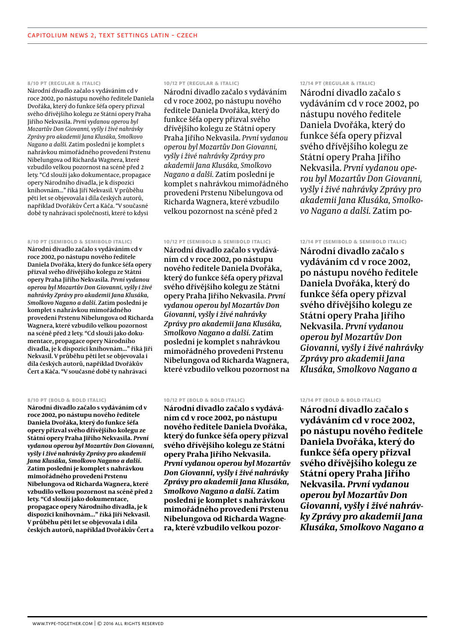# **8/10 pt (regular & italic)**

Národní divadlo začalo s vydáváním cd v roce 2002, po nástupu nového ředitele Daniela Dvořáka, který do funkce šéfa opery přizval svého dřívějšího kolegu ze Státní opery Praha Jiřího Nekvasila. *První vydanou operou byl Mozartův Don Giovanni, vyšly i živé nahrávky Zprávy pro akademii Jana Klusáka, Smolkovo Nagano a další.* Zatím poslední je komplet s nahrávkou mimořádného provedení Prstenu Nibelungova od Richarda Wagnera, které vzbudilo velkou pozornost na scéně před 2 lety. "Cd slouží jako dokumentace, propagace opery Národního divadla, je k dispozici knihovnám..." říká Jiří Nekvasil. V průběhu pěti let se objevovala i díla českých autorů, například Dvořákův Čert a Káča. "V současné době ty nahrávací společnosti, které to kdysi

### **8/10 pt (semibold & semibold italic)**

**Národní divadlo začalo s vydáváním cd v roce 2002, po nástupu nového ředitele Daniela Dvořáka, který do funkce šéfa opery přizval svého dřívějšího kolegu ze Státní opery Praha Jiřího Nekvasila.** *První vydanou operou byl Mozartův Don Giovanni, vyšly i živé nahrávky Zprávy pro akademii Jana Klusáka, Smolkovo Nagano a další.* **Zatím poslední je komplet s nahrávkou mimořádného provedení Prstenu Nibelungova od Richarda Wagnera, které vzbudilo velkou pozornost na scéně před 2 lety. "Cd slouží jako dokumentace, propagace opery Národního divadla, je k dispozici knihovnám..." říká Jiří Nekvasil. V průběhu pěti let se objevovala i díla českých autorů, například Dvořákův Čert a Káča. "V současné době ty nahrávací** 

### **8/10 pt (bold & bold italic)**

**Národní divadlo začalo s vydáváním cd v roce 2002, po nástupu nového ředitele Daniela Dvořáka, který do funkce šéfa opery přizval svého dřívějšího kolegu ze Státní opery Praha Jiřího Nekvasila.** *První vydanou operou byl Mozartův Don Giovanni, vyšly i živé nahrávky Zprávy pro akademii Jana Klusáka, Smolkovo Nagano a další.* **Zatím poslední je komplet s nahrávkou mimořádného provedení Prstenu Nibelungova od Richarda Wagnera, které vzbudilo velkou pozornost na scéně před 2 lety. "Cd slouží jako dokumentace, propagace opery Národního divadla, je k dispozici knihovnám..." říká Jiří Nekvasil. V průběhu pěti let se objevovala i díla českých autorů, například Dvořákův Čert a** 

# **10/12 pt (regular & italic)**

Národní divadlo začalo s vydáváním cd v roce 2002, po nástupu nového ředitele Daniela Dvořáka, který do funkce šéfa opery přizval svého dřívějšího kolegu ze Státní opery Praha Jiřího Nekvasila. *První vydanou operou byl Mozartův Don Giovanni, vyšly i živé nahrávky Zprávy pro akademii Jana Klusáka, Smolkovo Nagano a další.* Zatím poslední je komplet s nahrávkou mimořádného provedení Prstenu Nibelungova od Richarda Wagnera, které vzbudilo velkou pozornost na scéně před 2

# **10/12 pt (semibold & semibold italic)**

**Národní divadlo začalo s vydáváním cd v roce 2002, po nástupu nového ředitele Daniela Dvořáka, který do funkce šéfa opery přizval svého dřívějšího kolegu ze Státní opery Praha Jiřího Nekvasila.** *První vydanou operou byl Mozartův Don Giovanni, vyšly i živé nahrávky Zprávy pro akademii Jana Klusáka, Smolkovo Nagano a další.* **Zatím poslední je komplet s nahrávkou mimořádného provedení Prstenu Nibelungova od Richarda Wagnera, které vzbudilo velkou pozornost na** 

# **10/12 pt (bold & bold italic)**

**Národní divadlo začalo s vydáváním cd v roce 2002, po nástupu nového ředitele Daniela Dvořáka, který do funkce šéfa opery přizval svého dřívějšího kolegu ze Státní opery Praha Jiřího Nekvasila.**  *První vydanou operou byl Mozartův Don Giovanni, vyšly i živé nahrávky Zprávy pro akademii Jana Klusáka, Smolkovo Nagano a další.* **Zatím poslední je komplet s nahrávkou mimořádného provedení Prstenu Nibelungova od Richarda Wagnera, které vzbudilo velkou pozor-**

# **12/14 pt (regular & italic)**

Národní divadlo začalo s vydáváním cd v roce 2002, po nástupu nového ředitele Daniela Dvořáka, který do funkce šéfa opery přizval svého dřívějšího kolegu ze Státní opery Praha Jiřího Nekvasila. První vydanou ope*rou byl Mozartův Don Giovanni, vyšly i živé nahrávky Zprávy pro akademii Jana Klusáka, Smolko� vo Nagano a další.* Zatím po-

# **12/14 pt (semibold & semibold italic)**

**Národní divadlo začalo s vydáváním cd v roce 2002, po nástupu nového ředitele Daniela Dvořáka, který do funkce šéfa opery přizval svého dřívějšího kolegu ze Státní opery Praha Jiřího Nekvasila.** *První vydanou operou byl Mozartův Don Giovanni, vyšly i živé nahrávky Zprávy pro akademii Jana Klusáka, Smolkovo Nagano a* 

# **12/14 pt (bold & bold italic)**

**Národní divadlo začalo s vydáváním cd v roce 2002, po nástupu nového ředitele Daniela Dvořáka, který do funkce šéfa opery přizval svého dřívějšího kolegu ze Státní opery Praha Jiřího Nekvasila.** *První vydanou operou byl Mozartův Don Giovanni, vyšly i živé nahrávky Zprávy pro akademii Jana Klusáka, Smolkovo Nagano a*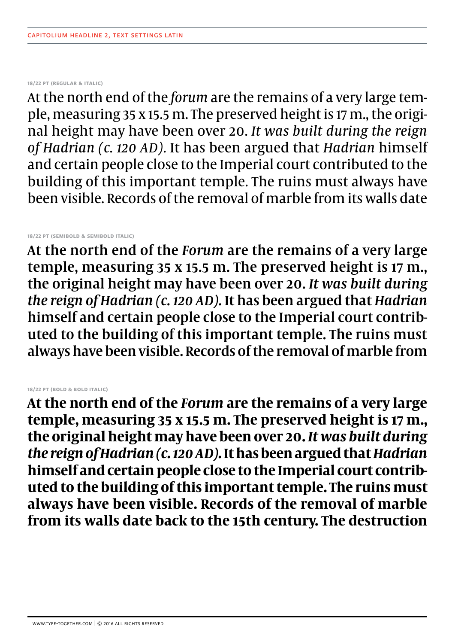# **18/22 pt (regular & italic)**

At the north end of the *forum* are the remains of a very large temple, measuring 35 x 15.5 m. The preserved height is 17 m., the original height may have been over 20. *It was built during the reign of Hadrian (c. 120 AD)*. It has been argued that *Hadrian* himself and certain people close to the Imperial court contributed to the building of this important temple. The ruins must always have been visible. Records of the removal of marble from its walls date

# **18/22 pt (semibold & semibold italic)**

At the north end of the *Forum* are the remains of a very large temple, measuring 35 x 15.5 m. The preserved height is 17 m., the original height may have been over 20. *It was built during the reign of Hadrian (c. 120 AD).* It has been argued that *Hadrian* himself and certain people close to the Imperial court contributed to the building of this important temple. The ruins must always have been visible. Records of the removal of marble from

# **18/22 pt (bold & bold italic)**

**At the north end of the** *Forum* **are the remains of a very large temple, measuring 35 x 15.5 m. The preserved height is 17 m., the original height may have been over 20.** *It was built during the reign of Hadrian (c. 120 AD).* **It has been argued that** *Hadrian* **himself and certain people close to the Imperial court contributed to the building of this important temple. The ruins must always have been visible. Records of the removal of marble from its walls date back to the 15th century. The destruction**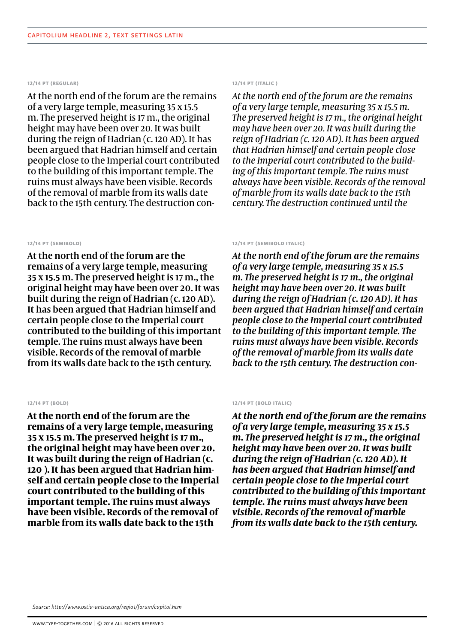# **12/14 pt (regular)**

At the north end of the forum are the remains of a very large temple, measuring 35 x 15.5 m. The preserved height is 17 m., the original height may have been over 20. It was built during the reign of Hadrian (c. 120 AD). It has been argued that Hadrian himself and certain people close to the Imperial court contributed to the building of this important temple. The ruins must always have been visible. Records of the removal of marble from its walls date back to the 15th century. The destruction con-

# **12/14 pt (semibold)**

At the north end of the forum are the remains of a very large temple, measuring 35 x 15.5 m. The preserved height is 17 m., the original height may have been over 20. It was built during the reign of Hadrian (c. 120 AD). It has been argued that Hadrian himself and certain people close to the Imperial court contributed to the building of this important temple. The ruins must always have been visible. Records of the removal of marble from its walls date back to the 15th century.

# **12/14 pt (bold)**

**At the north end of the forum are the remains of a very large temple, measuring 35 x 15.5 m. The preserved height is 17 m., the original height may have been over 20. It was built during the reign of Hadrian (c. 120 ). It has been argued that Hadrian himself and certain people close to the Imperial court contributed to the building of this important temple. The ruins must always have been visible. Records of the removal of marble from its walls date back to the 15th** 

# **12/14 pt (italic )**

*At the north end of the forum are the remains of a very large temple, measuring 35 x 15.5 m. The preserved height is 17 m., the original height may have been over 20. It was built during the reign of Hadrian (c. 120 AD). It has been argued that Hadrian himself and certain people close to the Imperial court contributed to the build� ing of this important temple. The ruins must always have been visible. Records of the removal of marble from its walls date back to the 15th century. The destruction continued until the* 

# **12/14 pt (semibold italic)**

*At the north end of the forum are the remains of a very large temple, measuring 35 x 15.5 m. The preserved height is 17 m., the original height may have been over 20. It was built during the reign of Hadrian (c. 120 AD). It has been argued that Hadrian himself and certain people close to the Imperial court contributed to the building of this important temple. The ruins must always have been visible. Records of the removal of marble from its walls date back to the 15th century. The destruction con-*

# **12/14 pt (bold italic)**

*At the north end of the forum are the remains of a very large temple, measuring 35 x 15.5 m. The preserved height is 17 m., the original height may have been over 20. It was built during the reign of Hadrian (c. 120 AD). It has been argued that Hadrian himself and certain people close to the Imperial court contributed to the building of this important temple. The ruins must always have been visible. Records of the removal of marble from its walls date back to the 15th century.*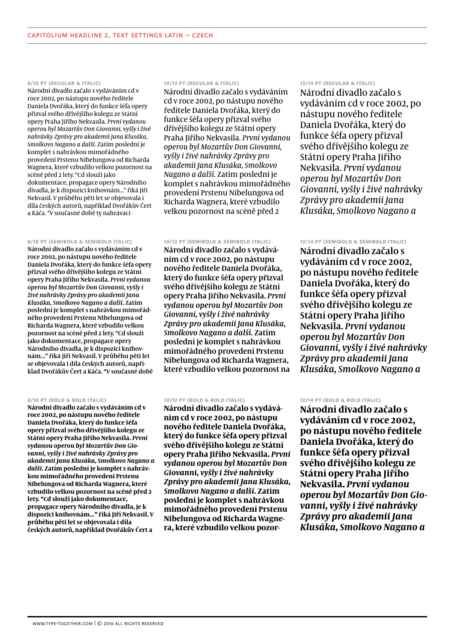### **8/10 pt (regular & italic)**

Národní divadlo začalo s vydáváním cd v roce 2002, po nástupu nového ředitele Daniela Dvořáka, který do funkce šéfa opery přizval svého dřívějšího kolegu ze Státní opery Praha Jiřího Nekvasila. *První vydanou operou byl Mozartův Don Giovanni, vyšly i živé nahrávky Zprávy pro akademii Jana Klusáka, Smolkovo Nagano a další.* Zatím poslední je komplet s nahrávkou mimořádného provedení Prstenu Nibelungova od Richarda Wagnera, které vzbudilo velkou pozornost na scéně před 2 lety. "Cd slouží jako dokumentace, propagace opery Národního divadla, je k dispozici knihovnám..." říká Jiří Nekvasil. V průběhu pěti let se objevovala i díla českých autorů, například Dvořákův Čert a Káča. "V současné době ty nahrávací

### **8/10 pt (semibold & semibold italic)**

Národní divadlo začalo s vydáváním cd v roce 2002, po nástupu nového ředitele Daniela Dvořáka, který do funkce šéfa opery přizval svého dřívějšího kolegu ze Státní opery Praha Jiřího Nekvasila. *První vydanou operou byl Mozartův Don Giovanni, vyšly i živé nahrávky Zprávy pro akademii Jana Klusáka, Smolkovo Nagano a další.* Zatím poslední je komplet s nahrávkou mimořádného provedení Prstenu Nibelungova od Richarda Wagnera, které vzbudilo velkou pozornost na scéně před 2 lety. "Cd slouží jako dokumentace, propagace opery Národního divadla, je k dispozici knihovnám..." říká Jiří Nekvasil. V průběhu pěti let se objevovala i díla českých autorů, například Dvořákův Čert a Káča. "V současné době

### **8/10 pt (bold & bold italic)**

**Národní divadlo začalo s vydáváním cd v roce 2002, po nástupu nového ředitele Daniela Dvořáka, který do funkce šéfa opery přizval svého dřívějšího kolegu ze Státní opery Praha Jiřího Nekvasila.** *První vydanou operou byl Mozartův Don Giovanni, vyšly i živé nahrávky Zprávy pro akademii Jana Klusáka, Smolkovo Nagano a další.* **Zatím poslední je komplet s nahrávkou mimořádného provedení Prstenu Nibelungova od Richarda Wagnera, které vzbudilo velkou pozornost na scéně před 2 lety. "Cd slouží jako dokumentace, propagace opery Národního divadla, je k dispozici knihovnám..." říká Jiří Nekvasil. V průběhu pěti let se objevovala i díla českých autorů, například Dvořákův Čert a** 

# **10/12 pt (regular & italic)**

Národní divadlo začalo s vydáváním cd v roce 2002, po nástupu nového ředitele Daniela Dvořáka, který do funkce šéfa opery přizval svého dřívějšího kolegu ze Státní opery Praha Jiřího Nekvasila. *První vydanou operou byl Mozartův Don Giovanni, vyšly i živé nahrávky Zprávy pro akademii Jana Klusáka, Smolkovo Nagano a další.* Zatím poslední je komplet s nahrávkou mimořádného provedení Prstenu Nibelungova od Richarda Wagnera, které vzbudilo velkou pozornost na scéně před 2

# **10/12 pt (semibold & semibold italic)**

Národní divadlo začalo s vydáváním cd v roce 2002, po nástupu nového ředitele Daniela Dvořáka, který do funkce šéfa opery přizval svého dřívějšího kolegu ze Státní opery Praha Jiřího Nekvasila. *První vydanou operou byl Mozartův Don Giovanni, vyšly i živé nahrávky Zprávy pro akademii Jana Klusáka, Smolkovo Nagano a další.* Zatím poslední je komplet s nahrávkou mimořádného provedení Prstenu Nibelungova od Richarda Wagnera, které vzbudilo velkou pozornost na

# **10/12 pt (bold & bold italic)**

**Národní divadlo začalo s vydáváním cd v roce 2002, po nástupu nového ředitele Daniela Dvořáka, který do funkce šéfa opery přizval svého dřívějšího kolegu ze Státní opery Praha Jiřího Nekvasila.** *První vydanou operou byl Mozartův Don Giovanni, vyšly i živé nahrávky Zprávy pro akademii Jana Klusáka, Smolkovo Nagano a další.* **Zatím poslední je komplet s nahrávkou mimořádného provedení Prstenu Nibelungova od Richarda Wagnera, které vzbudilo velkou pozor-**

# **12/14 pt (regular & italic)**

Národní divadlo začalo s vydáváním cd v roce 2002, po nástupu nového ředitele Daniela Dvořáka, který do funkce šéfa opery přizval svého dřívějšího kolegu ze Státní opery Praha Jiřího Nekvasila. *První vydanou operou byl Mozartův Don Giovanni, vyšly i živé nahrávky Zprávy pro akademii Jana Klusáka, Smolkovo Nagano a* 

# **12/14 pt (semibold & semibold italic)**

Národní divadlo začalo s vydáváním cd v roce 2002, po nástupu nového ředitele Daniela Dvořáka, který do funkce šéfa opery přizval svého dřívějšího kolegu ze Státní opery Praha Jiřího Nekvasila. *První vydanou operou byl Mozartův Don Giovanni, vyšly i živé nahrávky Zprávy pro akademii Jana Klusáka, Smolkovo Nagano a* 

# **12/14 pt (bold & bold italic)**

**Národní divadlo začalo s vydáváním cd v roce 2002, po nástupu nového ředitele Daniela Dvořáka, který do funkce šéfa opery přizval svého dřívějšího kolegu ze Státní opery Praha Jiřího Nekvasila.** *První vydanou operou byl Mozartův Don Giovanni, vyšly i živé nahrávky Zprávy pro akademii Jana Klusáka, Smolkovo Nagano a*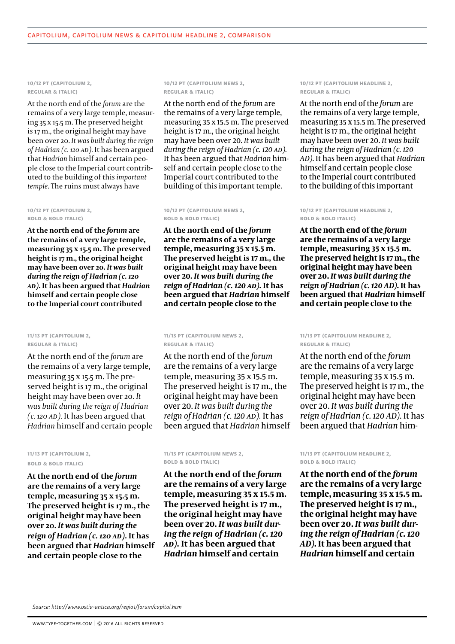# **10/12 pt (capitolium 2, regular & italic)**

At the north end of the *forum* are the remains of a very large temple, measuring 35 x 15.5 m. The preserved height is 17 m., the original height may have been over 20. *It was built during the reign of Hadrian (c. 120 AD).* It has been argued that *Hadrian* himself and certain people close to the Imperial court contributed to the building of this *important temple*. The ruins must always have

# **10/12 pt (capitolium 2, bold & bold italic)**

**At the north end of the** *forum* **are the remains of a very large temple, measuring 35 x 15.5 m. The preserved height is 17 m., the original height may have been over 20.** *It was built during the reign of Hadrian (c. 120 AD).* **It has been argued that** *Hadrian* **himself and certain people close to the Imperial court contributed** 

# **11/13 pt (capitolium 2, regular & italic)**

At the north end of the *forum* are the remains of a very large temple, measuring 35 x 15.5 m. The preserved height is 17 m., the original height may have been over 20. *It was built during the reign of Hadrian (c. 120 AD).* It has been argued that *Hadrian* himself and certain people

# **11/13 pt (capitolium 2, bold & bold italic)**

**At the north end of the** *forum* **are the remains of a very large temple, measuring 35 x 15.5 m. The preserved height is 17 m., the original height may have been over 20.** *It was built during the reign of Hadrian (c. 120 AD).* **It has been argued that** *Hadrian* **himself and certain people close to the** 

**10/12 pt (capitolium news 2, regular & italic)**

At the north end of the *forum* are the remains of a very large temple, measuring 35 x 15.5 m. The preserved height is 17 m., the original height may have been over 20. *It was built during the reign of Hadrian (c. 120 AD).* It has been argued that *Hadrian* himself and certain people close to the Imperial court contributed to the building of this important temple.

# **10/12 pt (capitolium news 2, bold & bold italic)**

**At the north end of the** *forum* **are the remains of a very large temple, measuring 35 x 15.5 m. The preserved height is 17 m., the original height may have been over 20.** *It was built during the reign of Hadrian (c. 120 AD).* **It has been argued that** *Hadrian* **himself and certain people close to the** 

# **11/13 pt (capitolium news 2, regular & italic)**

At the north end of the *forum* are the remains of a very large temple, measuring 35 x 15.5 m. The preserved height is 17 m., the original height may have been over 20. *It was built during the reign of Hadrian (c. 120 AD).* It has been argued that *Hadrian* himself

**11/13 pt (capitolium news 2, bold & bold italic)**

**At the north end of the** *forum* **are the remains of a very large temple, measuring 35 x 15.5 m. The preserved height is 17 m., the original height may have been over 20.** *It was built during the reign of Hadrian (c. 120 AD).* **It has been argued that**  *Hadrian* **himself and certain** 

# **10/12 pt (capitolium headline 2, regular & italic)**

At the north end of the *forum* are the remains of a very large temple, measuring 35 x 15.5 m. The preserved height is 17 m., the original height may have been over 20. *It was built during the reign of Hadrian (c. 120 AD).* It has been argued that *Hadrian* himself and certain people close to the Imperial court contributed to the building of this important

# **10/12 pt (capitolium headline 2, bold & bold italic)**

**At the north end of the** *forum* **are the remains of a very large temple, measuring 35 x 15.5 m. The preserved height is 17 m., the original height may have been over 20.** *It was built during the reign of Hadrian (c. 120 AD).* **It has been argued that** *Hadrian* **himself and certain people close to the** 

**11/13 pt (capitolium headline 2, regular & italic)**

At the north end of the *forum* are the remains of a very large temple, measuring 35 x 15.5 m. The preserved height is 17 m., the original height may have been over 20. *It was built during the reign of Hadrian (c. 120 AD).* It has been argued that *Hadrian* him�

# **11/13 pt (capitolium headline 2, bold & bold italic)**

**At the north end of the** *forum* **are the remains of a very large temple, measuring 35 x 15.5 m. The preserved height is 17 m., the original height may have been over 20.** *It was built during the reign of Hadrian (c. 120 AD).* **It has been argued that**  *Hadrian* **himself and certain** 

*Source: http://www.ostia-antica.org/regio1/forum/capitol.htm*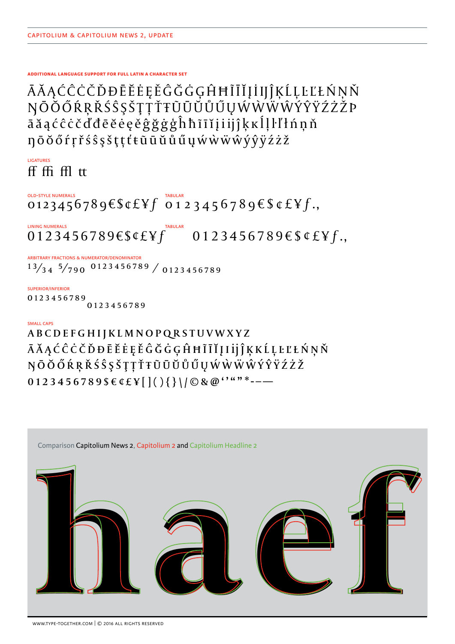# **ADDITIONAL LANGUAGE SUPPORT FOR FULL LATIN A CHARACTER SET**

ĀĂĄĆĈĊČĎĐĒĔĖĘĚĜĞĠĢĤĦĨĪĬĮİIJĴĶĹĻĿĽŁŃŅŇ<br>ŊŌŎŐŔŖŘŚŜŞŠŢŢŤŦŨŪŬŮŰŲŴŴŴŴŶŶŸŹŻŽP āăąćĉċčďđēĕėęěĝğġģĥħĩīĭįiijĵķkĺļŀľłńnň ŋōŏőŕŗřśŝşšţţťŧũūŭůűųẃẁẅŵýŷÿźżž

**LIGATURES** ff ffi ffl tt

**OLD-STYLE NUMERALS** OLD-STYLE NUMERALS<br>0123456789 $\epsilon$ \$¢£¥ $f$  0123456789 $\epsilon$ \$¢£¥ $f$ .,

**LINING NUMERALS**  $0123456789€$ \$¢£¥f 0123456789€\$¢£¥f,

ARBITRARY FRACTIONS & NUMERATOR/DENOMINATOR  $13/34$   $5/790$  0123456789 / 0123456789

SUPERIOR/INFERIOR 0123456789 0123456789

# **SMALL CAPS**

ABCDEFGHIJKLMNOPQRSTUVWXYZ Ā Ă Ą Ć Ĉ Ċ Č Ď Đ Ē Ĕ Ė Ę Ě Ĝ Ğ Ġ Ģ Ĥ Ħ Ĩ Ī Ĭ Į I ij Ĵ Ķ K Ĺ Ļ Ŀ Ľ Ł Ń Ņ Ň NŌŎŐŔŖŘŚŜŞŠŢŢŤŦŨŪŬŮŰŲŴŴŴŴÝŶŸŹŻŽ 0123456789\$€¢£¥[](){}\|©&@''""\*---

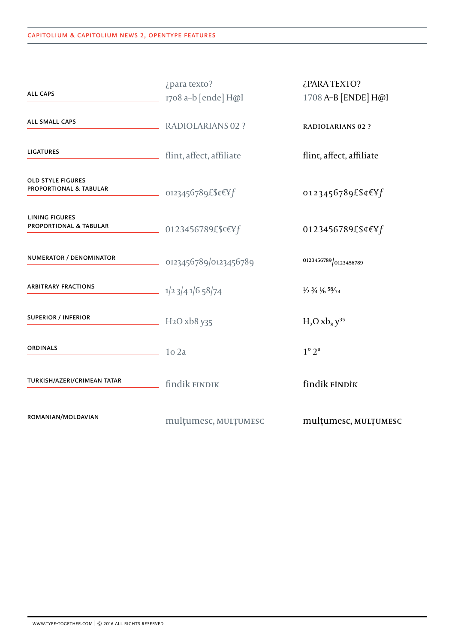| <b>ALL CAPS</b>                                               | ¿para texto?<br>1708 a-b [ende] H@I                       | ¿PARA TEXTO?<br>1708 A-B [ENDE] H@I                       |
|---------------------------------------------------------------|-----------------------------------------------------------|-----------------------------------------------------------|
| ALL SMALL CAPS                                                | <b>RADIOLARIANS 02 ?</b>                                  | <b>RADIOLARIANS 02 ?</b>                                  |
| <b>LIGATURES</b>                                              | flint, affect, affiliate                                  | flint, affect, affiliate                                  |
| <b>OLD STYLE FIGURES</b><br><b>PROPORTIONAL &amp; TABULAR</b> | $-$ 0123456789£\$¢€¥f                                     | 0123456789£\$¢€¥f                                         |
| LINING FIGURES<br>PROPORTIONAL & TABULAR                      | 0123456789£\$¢€¥f                                         | 0123456789£\$¢€¥f                                         |
| NUMERATOR / DENOMINATOR                                       | 0123456789/0123456789                                     | 0123456789 0123456789                                     |
| <b>ARBITRARY FRACTIONS</b>                                    | $\frac{1}{2}$ $\frac{3}{4}$ $\frac{1}{6}$ $\frac{58}{74}$ | $\frac{1}{2}$ $\frac{3}{4}$ $\frac{1}{6}$ $\frac{58}{74}$ |
| <b>SUPERIOR / INFERIOR</b>                                    | $-$ H <sub>2</sub> O xb <sub>8</sub> y <sub>35</sub>      | $H_2O$ $xb_8y^{35}$                                       |
| <b>ORDINALS</b>                                               | $1o$ 2a                                                   | $1^\circ 2^a$                                             |
| TURKISH/AZERI/CRIMEAN TATAR                                   | findik FINDIK                                             | findik FİNDİK                                             |
| ROMANIAN/MOLDAVIAN                                            | multumesc, MULTUMESC                                      | multumesc, MULTUMESC                                      |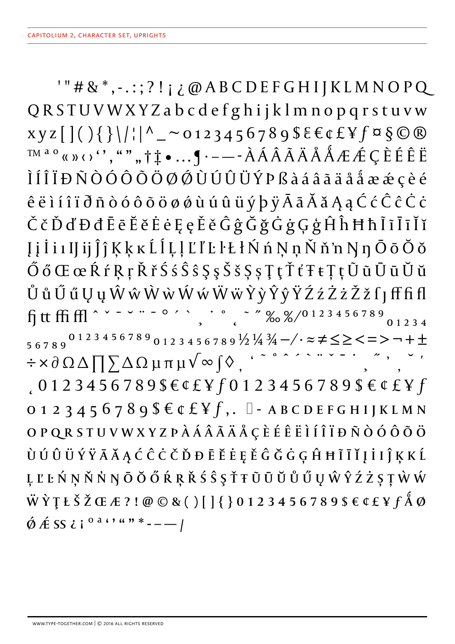$'$ "#&\*,-.:;?!;¿@ABCDEFGHIJKLMNOPQ QRSTUVWXYZabcdefghijklmnopqrstuvw  $xyz[|( ) { } |\| \$  $T^{M^{a}o}$   $\langle \langle \rangle \rangle$   $\langle \rangle$ ,  $\langle \rangle$ ,  $\uparrow \uparrow \bullet \ldots \circ$   $\uparrow \neg$   $\bar{A}$   $\bar{A}$   $\tilde{A}$   $\tilde{A}$   $\tilde{A}$   $\tilde{A}$   $\tilde{A}$   $\tilde{A}$   $\tilde{A}$   $\tilde{A}$   $\tilde{A}$   $\tilde{A}$   $\tilde{A}$   $\tilde{A}$   $\tilde{A}$   $\tilde{A}$   $\tilde{A}$   $\tilde{A}$ ÌÍ Î Ï Đ Ñ Ò Ó Ô Õ Ö Ø Ø Ù Ú Û Ü Ý P ß à á â ã ä å å æ æ ç è é  $\hat{e}$  ë i í î ï  $\tilde{d}$  ñ ò ó ô õ ö ø ø ù ú û ü ý þ ÿ Ā ā Ă ă Ą ą Ć ć Ĉ ĉ Ċ ċ ČčĎďĐđĒēĔĕĖėĘęĚěĜĝĞğĠġĢģĤĥĦħĨĩĪīĬĭ Įį li I I I i j j j K k k L l L l L l' L l Ł ł Ń ń Ņ ņ Ň ň 'n Ŋ ŋ Ō ō Ŏ ŏ ŐőŒœŔŕŖŗŘřŚśŜŝŞşŠšŞşŢţŤťŦŧŢţŨũŪūŬŭ ŮůŰűŲųŴŵŴŵŴŵŴŵŸỳŶŷŸŹźŻżŽžſJfffifl 56789<sup>0123456789</sup>0123456789½¼¼-/·≈≠≤≥<=>¬+±  $0123456789$€$ €¢£¥ $f$ 0123456789\$€¢£¥ $f$  $0123456789$   $\xi \in \mathcal{L}$   $\xi$   $f$ ,  $\Box$  - ABCDEFGHIJKLMN OPQRSTUVWXYZPÀÁÂÃÄÅÇÈÉÊËÌÍÎÏĐÑÒÓÔÕÖ Ù Ú Û Ü Ý Ÿ Ā Ă Ą Ć Ĉ Ċ Č Ď Đ Ē Ĕ Ė Ę Ě Ĝ Ğ Ġ Ģ Ĥ Ħ Ĩ Ī Ĭ Į İ I Ĵ Ķ K Ĺ ĻĽĿŃŅŇŇŊŌŎŐŔŖŘŚŜŞŤŦŨŪŬŮŰŲŴŶŹŻŞŢŴŴ  $\ddot{W} \dot{Y} \ddot{Y} \ddot{E} \ddot{Z} \times E \ddot{Z} \ddot{Z} \ddot{Z} \ddot{Z} \ddot{Z} \ddot{Z} \ddot{Z} \ddot{Z} \ddot{Z} \ddot{Z} \ddot{Z} \ddot{Z} \ddot{Z} \ddot{Z} \ddot{Z} \ddot{Z} \ddot{Z} \ddot{Z} \ddot{Z} \ddot{Z} \ddot{Z} \ddot{Z} \ddot{Z} \ddot{Z} \ddot{Z} \ddot{Z} \ddot{Z} \ddot{Z} \ddot{Z} \ddot{Z} \ddot{Z} \dd$  $\acute{\phi}$   $\acute{A}$  SS  $i$  i<sup>o a c</sup>  $``"$   $*-$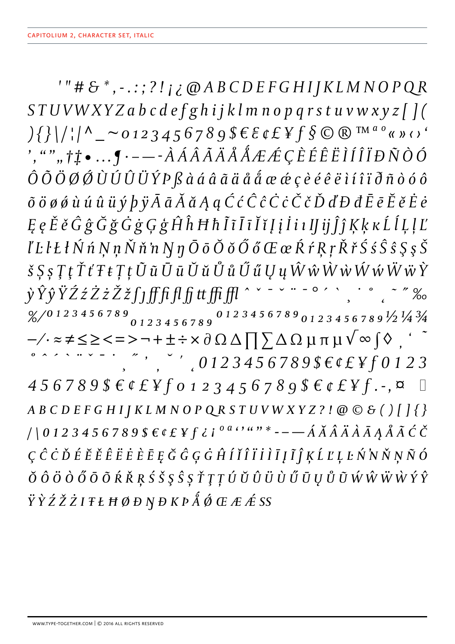$'$ "#&\*,-.:;?!;¿@ABCDEFGHIJKLMNOPQR STUVWXYZabcdefghijklmnopqrstuvwxyz[](  $\{\{\}\big|\big|/\big|\big|^\Lambda\big| \sim 0$ 123456789\$ $\xi \in \mathcal{E}$   $\{f \}$  $\mathcal{S}$   $\mathcal{S}$   $\mathcal{S}$  $\hat{O}$  $\tilde{O}$  $\tilde{O}$  $\tilde{O}$  $\tilde{O}$  $\tilde{O}$  $\tilde{O}$  $\tilde{O}$  $\tilde{O}$  $\tilde{O}$  $\tilde{O}$  $\tilde{O}$  $\tilde{O}$  $\tilde{O}$  $\tilde{O}$  $\tilde{O}$  $\tilde{O}$  $\tilde{O}$  $\tilde{O}$  $\tilde{O}$  $\tilde{O}$  $\tilde{O}$  $\tilde{O}$  $\tilde{O}$  $\tilde{O}$  $\tilde{O}$  $\tilde{O}$  $\tilde{O$  $\tilde{o}$   $\ddot{o}$   $\theta$   $\dot{\theta}$   $\dot{u}$   $\dot{u}$   $\dot{u}$   $\dot{y}$   $\dot{p}$   $\ddot{y}$   $\bar{A}$   $\bar{a}$   $\ddot{A}$   $\dot{a}$   $q$   $\acute{C}$   $\hat{c}$   $\dot{\hat{C}}$   $\dot{c}$   $\check{C}$   $\check{c}$   $\check{D}$   $\ddot{d}'$   $D$   $d$   $\bar{E}$   $\bar{e}$   $\check{E}$   $\dot{e}$ ĘęĔěĜĝĞğĠġĢģĤĥĦħĨĩĪīĬĭĮįİiıIJijĴĵĶķĸĹĺĻļĽ  $l'$  L l Ł ł Ń ń Ņ ņ Ň ň 'n Ŋ ŋ Ō ō Ŏ ŏ Ő ő Œ œ Ŕ ŕ Ŗ ŗ Ř ř Ś ś Ŝ ŝ Ş ş Š  $\check{\mathcal{S}}$   $\check{\mathcal{S}}$   $\check{\mathcal{S}}$   $\check{\mathcal{S}}$   $\check{\mathcal{I}}$   $\check{\mathcal{I}}$   $\check{\mathcal{I}}$   $\check{\mathcal{I}}$   $\check{\mathcal{I}}$   $\check{\mathcal{U}}$   $\check{\mathcal{U}}$   $\check{\mathcal{U}}$   $\check{\mathcal{U}}$   $\check{\mathcal{U}}$   $\check{\mathcal{U}}$   $\check{\mathcal{U}}$   $\check{\mathcal{U}}$   $\check{\mathcal{V}}$   $\check{\mathcal{W}}$   $\check{\mathcal{W}}$  yŶŷŸŹźŻżŽžſjfffffffffffff ^ ` - ` " - o ' \, . . . . "%  $\frac{8}{12}$  3 4 5 6 7 8 9 0 1 2 3 4 5 6 7 8 9 0 1 2 3 4 5 6 7 8 9 0 1 2 3 4 5 6 7 8 9  $\frac{1}{2}$   $\frac{1}{4}$   $\frac{3}{4}$  $-\frac{1}{2}$   $\approx$   $\neq$   $\leq$   $\geq$   $\leq$   $\Rightarrow$   $-\frac{1}{2}$   $\pm$   $\div$   $\times$   $\partial$   $\Omega$   $\triangle$   $\prod$   $\sum$   $\triangle$   $\Omega$   $\mu$   $\pi$   $\mu$   $\sqrt{\infty}$   $\int$   $\Diamond$   $\int$   $\frac{1}{2}$   $\frac{1}{2}$  $\frac{1}{2}$ , ", ", 0123456789\$ $\epsilon$ ¢£¥ $\int$ 0123  $456789$  \$  $6$   $6$   $2$   $450123456789$  \$  $6$   $6$   $2$   $45$   $-$ ,  $\alpha$   $\Box$  $ABCDEFGHIJKLMNOPQRSTUVWXYZ? ! @C6()[]{}$  $//0123456789$f&f&f&i<sup>0a</sup>''"*---A&A&A&A&A&A&A&C&C\\$  $C\ C\ C\ D\ E\ E\ \v E\ \v E\ \v E\ \v E\ \v E\ \v E\ \v E\ \v G\ G\ G\ \v G\ \v H\ \v f\ \v I\ \v I\ \v I\ \v I\ \v F\ \v L\ \v M\ \v N\ \v N\ \v N\ \v O$ ŎÔÖŎŐŌÕŔŘŖŚŠŞŜȘŤŢŢÚŬŨŨÜŮŰŪŲŮŨŴŴŴŶŶ  $\ddot{Y} \dot{Y} \dot{Z} \dot{Z} \dot{Z} I$  T Ł Ħ Ø Đ N Đ K P  $\AA$  Ø Œ Æ Æ SS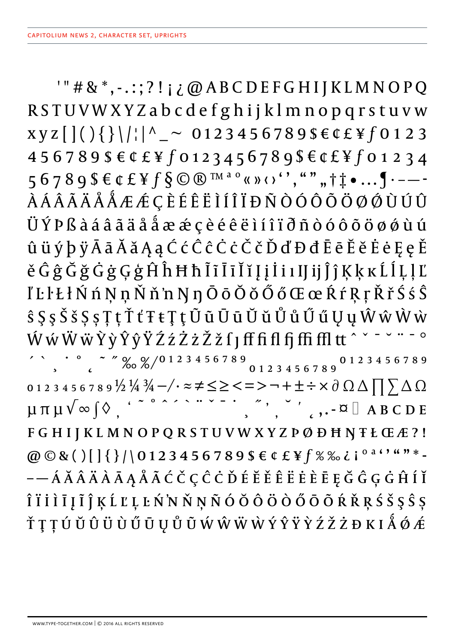$"$ #&\*,-.:;?!;¿@ABCDEFGHIJKLMNOPQ RSTUVWXYZabcdefghijklmnopqrstuvw  $XYZ[[\{\}]_{\}]\$ 456789\$€¢£¥f0123456789\$€¢£¥f01234 56789\$€¢£¥f§©®™<sup>ao</sup>«»‹›'',"""†‡•... [·---*ÀÁÂÃÄÅÅÆÆ*ÇÈÉÊËÌÍÎÏĐÑÒÓÔÕÖØØÙÚÛ ÜÝPßà á â ã ä å å æ æ ç è é ê ë ì í î ï đ ñ ò ó ô õ ö ø ø ù ú ûüýþÿĀāĂ㥹ĆćĈĉĊċČčĎďĐđĒēĔĕĖėĘęĚ ěĜĝĞğĠġĢģĤĥĦħĨĩĪīĬĭĮį İi I J ij Ĵ ĵ Ķ ķ ĸ Ĺ ĺ Ļ ļ Ľ I'Ll· k l Ń ń Ņ ņ Ň ň 'n Ŋ ŋ Ō ō Ŏ ŏ Ő ő Œ œ Ŕ ŕ Ŗ ŗ Ř ř Ś ś Ŝ  $\hat{s}$  Ş ş Š š Ş ş Ţ ţ Ť ť Ŧ ŧ Ţ ţ Ũ ũ Ū ū Ŭ ŭ Ů ů Ű ű Ų ų Ŵ ŵ Ŵ ẁ ŴŵŴŵŶŷŶŷŸŹźŻżŽžſJfffiflfjffifltt ^ \* 0123456789½¼¼-/·≈≠≤≥<=>¬+±÷×∂ΩΔ∏∑ΔΩ<br>μπμ√∞∫◊, ´<sup>~</sup>° ^´`` " `- `\_ ´, `\_, c, -¤ □ ABCDE  $\begin{array}{c} \circ \\ \circ \\ \circ \end{array}$ ,...  $\alpha \Box$  A B C D E FGHIJKLMNOPQRSTUVWXYZPØĐHNTŁŒÆ?! @  $\odot$  & ()[]{}/\0123456789\$  $\in$  ¢ £ \f % % i o a c , w n \* -Î Ï İ İ I Į Ĩ Ĵ Ķ Ĺ Ľ Ļ Ŀ Ń N Ň Ņ Ñ Ó Ŏ Õ Ö Ö Õ Ő Ō Ő Ŕ Ř Ŗ Ś Š Ş Ŝ Ș ŤŢŢÚŬŨŨÜŨŰŪŲŮŨŴŴŴŴÝŶŸŶŹŽŻĐKIÅØÆ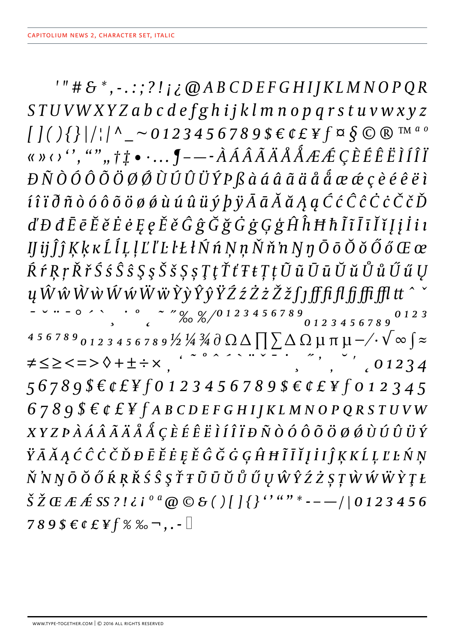$'$ "#&\*,-.:;?!;¿@ABCDEFGHIJKLMNOPQR STUVWXYZabcdefghijklmnopqrstuvwxyz  $\int \int \int \int \int \int \int \int \Lambda_{-} \sim 0123456789866E4F \approx \int \int \int \Gamma_{\text{M}}^{a} \, \delta$ «» $\cdots$ , "",, †  $\ddagger \bullet$  …,  $\oint$  — -  $\tilde{A}$   $\tilde{A}$   $\tilde{A}$   $\tilde{A}$   $\tilde{A}$   $\tilde{A}$   $\tilde{A}$   $\tilde{A}$   $\tilde{A}$   $\tilde{A}$   $\tilde{A}$   $\tilde{A}$   $\tilde{A}$   $\tilde{A}$   $\tilde{A}$   $\tilde{A}$   $\tilde{A}$   $\tilde{A}$   $\tilde{A}$   $\tilde{A}$   $\tilde{$  $D\,\tilde{N}\,\tilde{O}\,\tilde{O}\,\tilde{O}\,\tilde{O}\,\tilde{O}\,\tilde{O}\,\tilde{O}\,\tilde{O}\,\tilde{O}\,\tilde{O}\,\tilde{O}\,\tilde{O}\,\tilde{O}\,\tilde{O}\,\tilde{O}\,\tilde{O}\,\tilde{O}\,\tilde{O}\,\tilde{O}\,\tilde{O}\,\tilde{O}\,\tilde{O}\,\tilde{O}\,\tilde{O}\,\tilde{O}\,\tilde{O}\,\tilde{O}\,\tilde{O}\,\tilde{O}\,\tilde{O}\,\tilde{O}\,\tilde{O}\,\tilde{O}\,\tilde{O}\,\tilde{O}\,\til$  $\hat{\mathfrak{l}}$   $\hat{\mathfrak{l}}$   $\hat{\mathfrak{l}}$  $\hat{\mathfrak{l}}$  $\hat{\mathfrak{o}}$  $\hat{\mathfrak{o}}$  $\hat{\mathfrak{o}}$  $\hat{\mathfrak{o}}$  $\hat{\mathfrak{o}}$  $\hat{\mathfrak{o}}$  $\hat{\mathfrak{o}}$  $\hat{\mathfrak{u}}$  $\hat{\mathfrak{u}}$  $\hat{\mathfrak{u}}$  $\hat{\mathfrak{v}}$  $\hat{\mathfrak{p}}$  $\hat{\mathfrak{p}}$  $\tilde{\mathfrak{d}}$  $\tilde{\mathfrak{A}}$  $\tilde{\mathfrak{d}}$  $\tilde{\mathfr$  $d'$ Đ đĒ ē Ĕ ĕ Ė ė Ę ę Ě ě Ĝ ĝ Ğ ğ Ğ ġ Ģ ģ Ĥ ĥ Ħ ħ Ĩ ī Ī ī Ĭ ĭ J j İ i ı  $I$   $I$ j $\hat{j}$  $\hat{j}$   $K$  $k$   $K$  $\hat{L}$  $\hat{l}$  $L$  $\hat{l}$  $L$  $\hat{l}'$  $L$  $\hat{l}'$  $L$  $\hat{l}'$  $k$  $\hat{K}$  $\hat{N}$  $\hat{n}$  $N$  $\hat{n}$  $N$  $\hat{n}$  $N$  $\hat{n}$  $N$  $\hat{n}$  $N$  $\hat{n}$  $\hat{O}$  $\tilde{o}$  $\tilde{o}$  $\tilde{o}$  $\tilde{o}$  $\tilde{o}$  $K$  $\tilde{c}$  $\tilde{c}$  $\tilde{c}$ ŔŕŖŗŘřŚśŜŝŞşŠšŞşŢţŤťŦŧŢţŨũŪūŬŭŮůŰűŲ ų ŴŵŴŵŴŵŴŵŶŷŶŷŸŹźŻżŽžſjffffffffffftfltt^ 4 5 6 7 8 9 <sub>0 1 2</sub> 3 4 5 6 7 8 9 ½ ¼ ¾ ∂ Ω Δ  $\prod$   $\sum$  Δ Ω μ π μ -/·  $\sqrt{\infty}$   $\int$   $\approx$  $\overline{z}$ ,  $\overline{z}$ ,  $\overline{z}$ ,  $01234$  $\neq$   $\leq$   $\ge$   $\lt$  =  $>$   $\lozenge$  +  $\pm$   $\div$   $\times$   $\qquad \qquad$   $\leq$   $\sim$   $\sim$   $\sim$   $\sim$   $\sim$ 56789\$€¢£¥f0123456789\$€¢£¥f012345  $6789$ \$ $66$ £¥ $f$ ABCDEFGHIJKLMNOPQRSTUVW XYZPÀÁÂÃÄÅÅ ÇÈÉÊËÌÍÎÏĐÑÒÓÔÕÖØØÙÚÛÜÝ ŸĀĂĄĆĈĊČĎĐĒĔĖĘĚĜĞĠĢĤĦĨĪĬĮİIĴĶKĹĻĽĿŃŅ Ň N N Ō Ŏ Ő Ŕ Ŗ Ř Ś Ŝ Ş Ť Ŧ Ũ Ū Ŭ Ů Ű Ų Ŵ Ŷ Ź Ż Ș Ţ Ŵ Ŵ Ŵ Ŷ Ţ Ł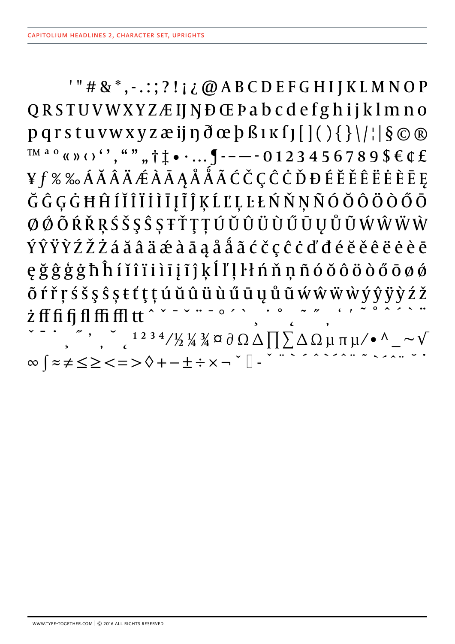$'$ "#&\*,-.:;?!;¿@ABCDEFGHIJKLMNOP QRSTUVWXYZÆIJNĐŒPabcdefghijklmno  $pq$ rstuvwxyzæij $p \partial \alpha p \beta$ lk $j$ [[(){}\/;| $\delta \odot \mathbb{R}$  $T^{M a o}$  (x ) (c), ", ",  $\uparrow \uparrow \bullet \cdots$   $\uparrow \neg$  - - - 0 1 2 3 4 5 6 7 8 9 \$  $\in \mathbb{C}$   $\pounds$ ¥f%%ÁĂÂÂÄÆÀĀĄÅÅÃĆČÇĈĊĎĐÉĔĚÊĖĖĒĘ ĞĜĢĠĦĤÍĬĨĨĬĨĬĪĮĨĴĶĹĽĻĿŁŃŇŅÑÓŎÔÖÔŐŌ ØØŐÕŔŘŖŚŠŞŜȘŦŤŢŢÚŬŨŨÜŨŰŪŲŮŨŴŴŴŴ ÝŶŸŶŹŽŻáăâäæàāąååãćčçĉċďđéĕěêëèèē ęğĝģġħĥíĭîïiìīįĩĵķĺľļŀłńňņñóŏôöòőōøø Õ ŕ ř ŗ ś š ş ŝ ș ŧ ť ţ ţ ú ŭ û ü ù ű ū ų ů ũ ẃ ŵ ẅ ẅ ỳ ŷ ÿ ỳ ź ž  $\begin{array}{c} \nabla \cdot \mathbf{u} = 0 \times \nabla \end{array}$ *i* ff fi fi ffi ffi ffl tt  $\infty \left\{ z\neq \leq \geq <=>\right\rangle \left\langle +-\pm \div x-\right\rangle ^{\circ }\left[ \right] -% \left\{ -\div \left( z-\right) \right\} \right\} .$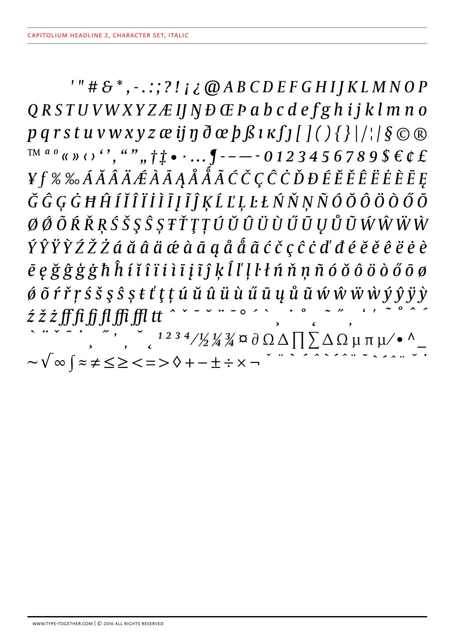$'$ "# $\mathcal{S}^*$ , -.:;?!; $\partial$   $\partial$  ABCDEFGHIJKLMNOP  $QRSTUVWXYZ/EIJND GPabCdefghijklmno$  $pq$ rstuvwxyzæij $\eta \, \partial \alpha$   $p \, \beta \iota \kappa f$ j[](){}|/| $\delta \odot \alpha$  $T^{M^{a}0}$   $\alpha$   $\nu$   $\beta$   $\gamma$ ,  $\alpha$   $\nu$   $\eta$ ,  $\uparrow \uparrow \bullet \cdot \ldots$   $\uparrow$  - - - 0 1 2 3 4 5 6 7 8 9 \$  $\epsilon$   $\epsilon$   $\epsilon$ ¥f % ‰ÁĂÂÃÆÀĀĄÅÅÅÃĆČÇĈĊĎĐÉĔĚÊËĖÈĒĘ ĞĜĢĠĦĤÍĬĨĨİĨĪĪĨĨĶĹĽĻĿŁŃŇŅÑÓŎÔÖÔŐŌ ØØÕŔŘŖŚŠŞŜȘŦŤŢŢÚŬŨŨŨŨŨŲŮŨŴŴŴŴ ÝŶŸŶŹŽŻáă â â æ à ā a â å a ć č ç ĉ ċ d' đ é ĕ ě ê ë ė è  $\bar{e}$   $e \xi \hat{g} \dot{g} \dot{g} \dot{h} \hat{h}$  í ĭ î î i i i j î ĵ ķ ĺ l' l ł ń ň ņ ñ ó ŏ ô ö ò ő ō ø ớ õ ŕ ř ŗ ś š ş ŝ ș ŧ ť ţ ț ú ŭ û ü ù ű ū ų ů ũ ŵ ŵ ŵ ỳ ŷ ÿ ỳ  $\int_{c}$ <sup>1234</sup>/½¼¾¤∂Ω△∏∑△Ωμπμ⁄•^\_  $\sim\sqrt{\infty}$   $\left( z\neq\leq\geq\leq\ =\ >\ \lozenge\ +\ -\pm\div\times\ \lnot$